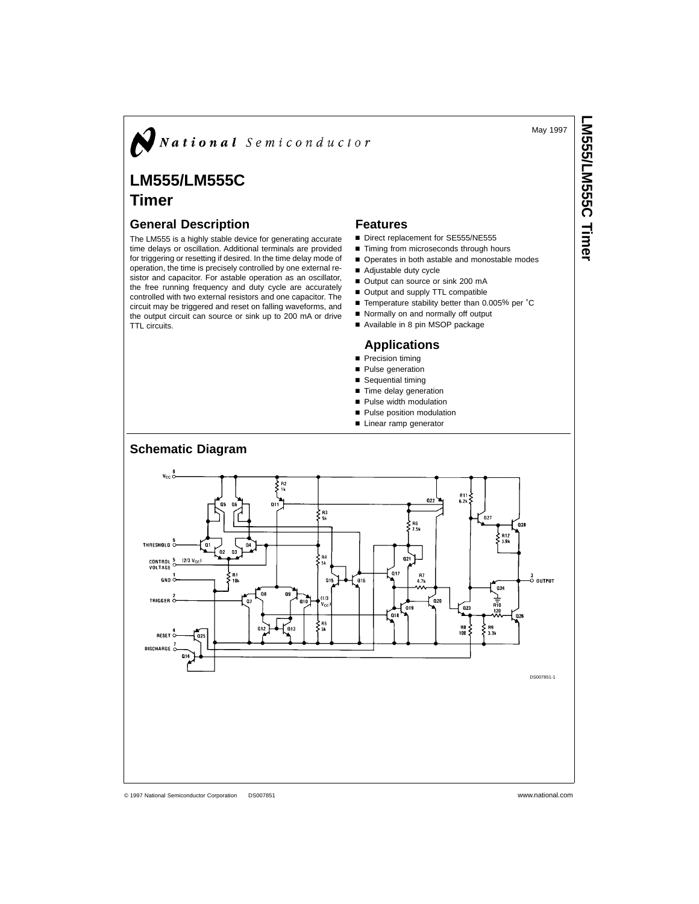May 1997

**LM555/LM555CIS552125500 Himer** 

# $N$ National Semiconductor

# **LM555/LM555C**

# **Timer**

### **General Description**

The LM555 is a highly stable device for generating accurate time delays or oscillation. Additional terminals are provided for triggering or resetting if desired. In the time delay mode of operation, the time is precisely controlled by one external resistor and capacitor. For astable operation as an oscillator, the free running frequency and duty cycle are accurately controlled with two external resistors and one capacitor. The circuit may be triggered and reset on falling waveforms, and the output circuit can source or sink up to 200 mA or drive TTL circuits.

#### **Features**

- Direct replacement for SE555/NE555
- $\blacksquare$  Timing from microseconds through hours
- Operates in both astable and monostable modes
- Adjustable duty cycle
- Output can source or sink 200 mA
- Output and supply TTL compatible
- Temperature stability better than 0.005% per °C
- Normally on and normally off output
- Available in 8 pin MSOP package

### **Applications**

- **Precision timing**
- **n** Pulse generation
- $\blacksquare$  Sequential timing
- Time delay generation
- **n** Pulse width modulation
- **Pulse position modulation**
- Linear ramp generator

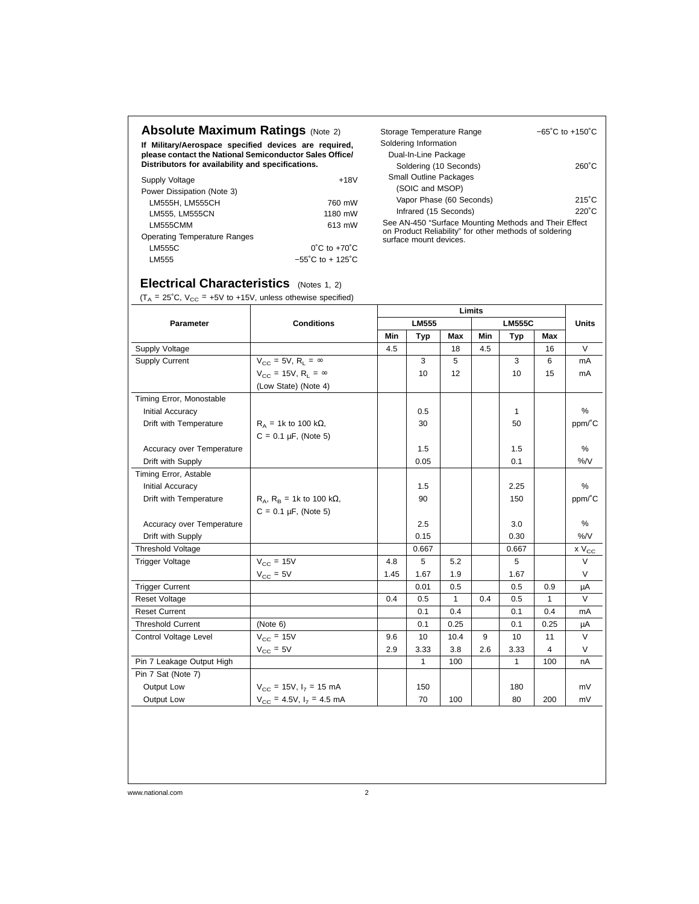# **Absolute Maximum Ratings (Note 2)**

**If Military/Aerospace specified devices are required, please contact the National Semiconductor Sales Office/ Distributors for availability and specifications.**

| Supply Voltage                      | $+18V$                                |
|-------------------------------------|---------------------------------------|
| Power Dissipation (Note 3)          |                                       |
| LM555H, LM555CH                     | 760 mW                                |
| LM555. LM555CN                      | 1180 mW                               |
| LM555CMM                            | 613 mW                                |
| <b>Operating Temperature Ranges</b> |                                       |
| LM555C                              | $0^{\circ}$ C to $+70^{\circ}$ C      |
| LM555                               | $-55^{\circ}$ C to + 125 $^{\circ}$ C |

| Storage Temperature Range                                                                                       | $-65^{\circ}$ C to $+150^{\circ}$ C |
|-----------------------------------------------------------------------------------------------------------------|-------------------------------------|
| Soldering Information                                                                                           |                                     |
| Dual-In-Line Package                                                                                            |                                     |
| Soldering (10 Seconds)                                                                                          | $260^{\circ}$ C                     |
| <b>Small Outline Packages</b>                                                                                   |                                     |
| (SOIC and MSOP)                                                                                                 |                                     |
| Vapor Phase (60 Seconds)                                                                                        | $215^{\circ}$ C                     |
| Infrared (15 Seconds)                                                                                           | $220^{\circ}$ C                     |
| See AN-450 "Surface Mounting Methods and Their Effect<br>on Product Reliability" for other methods of soldering |                                     |

surface mount devices.

## **Electrical Characteristics** (Notes 1, 2)

 $(T_A = 25^{\circ}C, V_{CC} = +5V \text{ to } +15V, \text{ unless otherwise specified})$ 

|                                                                                                                                                                                                                                                                                                                                                                                         |                                           |      |              |              | Limits |               |      |                              |
|-----------------------------------------------------------------------------------------------------------------------------------------------------------------------------------------------------------------------------------------------------------------------------------------------------------------------------------------------------------------------------------------|-------------------------------------------|------|--------------|--------------|--------|---------------|------|------------------------------|
| <b>Parameter</b>                                                                                                                                                                                                                                                                                                                                                                        | <b>Conditions</b>                         |      | <b>LM555</b> |              |        | <b>LM555C</b> |      | <b>Units</b>                 |
| Supply Voltage<br>Supply Current<br>Timing Error, Monostable<br>Initial Accuracy<br>Drift with Temperature<br>Drift with Supply<br>Timing Error, Astable<br>Initial Accuracy<br>Drift with Temperature<br>Drift with Supply<br><b>Threshold Voltage</b><br><b>Trigger Voltage</b><br><b>Trigger Current</b><br><b>Reset Voltage</b><br><b>Reset Current</b><br><b>Threshold Current</b> |                                           | Min  | Typ          | Max          | Min    | Typ           | Max  |                              |
|                                                                                                                                                                                                                                                                                                                                                                                         |                                           | 4.5  |              | 18           | 4.5    |               | 16   | $\vee$                       |
|                                                                                                                                                                                                                                                                                                                                                                                         | $V_{CC}$ = 5V, R <sub>1</sub> = $\infty$  |      | 3            | 5            |        | 3             | 6    | mA                           |
|                                                                                                                                                                                                                                                                                                                                                                                         | $V_{CC}$ = 15V, R <sub>1</sub> = $\infty$ |      | 10           | 12           |        | 10            | 15   | mA                           |
|                                                                                                                                                                                                                                                                                                                                                                                         | (Low State) (Note 4)                      |      |              |              |        |               |      |                              |
|                                                                                                                                                                                                                                                                                                                                                                                         |                                           |      |              |              |        |               |      |                              |
|                                                                                                                                                                                                                                                                                                                                                                                         |                                           |      | 0.5          |              |        | 1             |      | %                            |
|                                                                                                                                                                                                                                                                                                                                                                                         | $R_A$ = 1k to 100 k $\Omega$ ,            |      | 30           |              |        | 50            |      | ppm/°C                       |
|                                                                                                                                                                                                                                                                                                                                                                                         | $C = 0.1 \mu F$ , (Note 5)                |      |              |              |        |               |      |                              |
| Accuracy over Temperature                                                                                                                                                                                                                                                                                                                                                               |                                           |      | 1.5          |              |        | 1.5           |      | %                            |
|                                                                                                                                                                                                                                                                                                                                                                                         |                                           |      | 0.05         |              |        | 0.1           |      | %N                           |
|                                                                                                                                                                                                                                                                                                                                                                                         |                                           |      |              |              |        |               |      |                              |
|                                                                                                                                                                                                                                                                                                                                                                                         |                                           |      | 1.5          |              |        | 2.25          |      | %                            |
|                                                                                                                                                                                                                                                                                                                                                                                         | $R_A$ , $R_B$ = 1k to 100 k $\Omega$ ,    |      | 90           |              |        | 150           |      | ppm/°C                       |
|                                                                                                                                                                                                                                                                                                                                                                                         | $C = 0.1 \mu F$ , (Note 5)                |      |              |              |        |               |      |                              |
| Accuracy over Temperature                                                                                                                                                                                                                                                                                                                                                               |                                           |      | 2.5          |              |        | 3.0           |      | %                            |
|                                                                                                                                                                                                                                                                                                                                                                                         |                                           |      | 0.15         |              |        | 0.30          |      | %N                           |
|                                                                                                                                                                                                                                                                                                                                                                                         |                                           |      | 0.667        |              |        | 0.667         |      | x $\mathsf{V}_{\mathsf{CC}}$ |
|                                                                                                                                                                                                                                                                                                                                                                                         | $V_{CC}$ = 15V                            | 4.8  | 5            | 5.2          |        | 5             |      | $\vee$                       |
|                                                                                                                                                                                                                                                                                                                                                                                         | $V_{CC}$ = 5V                             | 1.45 | 1.67         | 1.9          |        | 1.67          |      | $\vee$                       |
|                                                                                                                                                                                                                                                                                                                                                                                         |                                           |      | 0.01         | 0.5          |        | 0.5           | 0.9  | μA                           |
|                                                                                                                                                                                                                                                                                                                                                                                         |                                           | 0.4  | 0.5          | $\mathbf{1}$ | 0.4    | 0.5           | 1    | V                            |
|                                                                                                                                                                                                                                                                                                                                                                                         |                                           |      | 0.1          | 0.4          |        | 0.1           | 0.4  | mA                           |
|                                                                                                                                                                                                                                                                                                                                                                                         | (Note 6)                                  |      | 0.1          | 0.25         |        | 0.1           | 0.25 | μA                           |
| Control Voltage Level                                                                                                                                                                                                                                                                                                                                                                   | $V_{CC}$ = 15V                            | 9.6  | 10           | 10.4         | 9      | 10            | 11   | $\vee$                       |
|                                                                                                                                                                                                                                                                                                                                                                                         | $V_{\text{CC}} = 5V$                      | 2.9  | 3.33         | 3.8          | 2.6    | 3.33          | 4    | $\vee$                       |
| Pin 7 Leakage Output High                                                                                                                                                                                                                                                                                                                                                               |                                           |      | 1            | 100          |        | 1             | 100  | nA                           |
| Pin 7 Sat (Note 7)                                                                                                                                                                                                                                                                                                                                                                      |                                           |      |              |              |        |               |      |                              |
| Output Low                                                                                                                                                                                                                                                                                                                                                                              | $V_{CC}$ = 15V, $I_7$ = 15 mA             |      | 150          |              |        | 180           |      | mV                           |
| Output Low                                                                                                                                                                                                                                                                                                                                                                              | $V_{CC}$ = 4.5V, $I_7$ = 4.5 mA           |      | 70           | 100          |        | 80            | 200  | mV                           |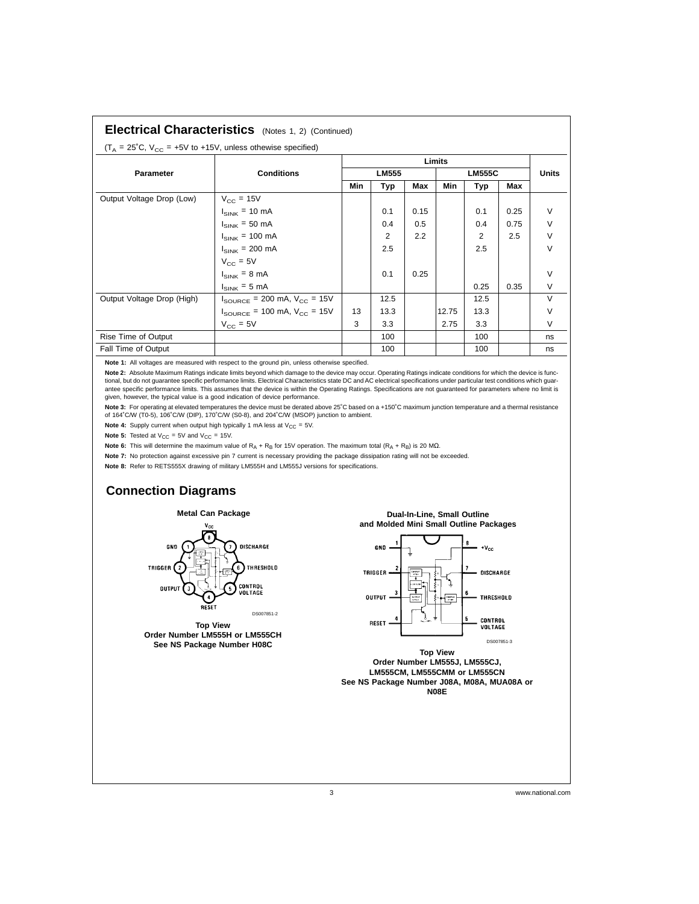| <b>Electrical Characteristics</b> (Notes 1, 2) (Continued) |  |
|------------------------------------------------------------|--|
|------------------------------------------------------------|--|

| $(T_A = 25^{\circ}C, V_{CC} = +5V$ to +15V, unless othewise specified) |                                                     |              |            |      |               |            |      |              |
|------------------------------------------------------------------------|-----------------------------------------------------|--------------|------------|------|---------------|------------|------|--------------|
|                                                                        |                                                     | Limits       |            |      |               |            |      |              |
| Parameter                                                              | <b>Conditions</b>                                   | <b>LM555</b> |            |      | <b>LM555C</b> |            |      | <b>Units</b> |
|                                                                        |                                                     | Min          | <b>Typ</b> | Max  | Min           | <b>Typ</b> | Max  |              |
| Output Voltage Drop (Low)                                              | $V_{CC}$ = 15V                                      |              |            |      |               |            |      |              |
|                                                                        | $I_{SINK}$ = 10 mA                                  |              | 0.1        | 0.15 |               | 0.1        | 0.25 | V            |
|                                                                        | $I_{SINK}$ = 50 mA                                  |              | 0.4        | 0.5  |               | 0.4        | 0.75 | $\vee$       |
|                                                                        | $I_{SINK}$ = 100 mA                                 |              | 2          | 2.2  |               | 2          | 2.5  | $\vee$       |
|                                                                        | $I_{SINK}$ = 200 mA                                 |              | 2.5        |      |               | 2.5        |      | $\vee$       |
|                                                                        | $V_{CC}$ = 5V                                       |              |            |      |               |            |      |              |
|                                                                        | $I_{SINK}$ = 8 mA                                   |              | 0.1        | 0.25 |               |            |      | $\vee$       |
|                                                                        | $I_{SINK}$ = 5 mA                                   |              |            |      |               | 0.25       | 0.35 | $\vee$       |
| Output Voltage Drop (High)                                             | $I_{\text{SOURCE}}$ = 200 mA, $V_{\text{CC}}$ = 15V |              | 12.5       |      |               | 12.5       |      | $\vee$       |
|                                                                        | $I_{\text{SOWRCE}}$ = 100 mA, $V_{\text{CC}}$ = 15V | 13           | 13.3       |      | 12.75         | 13.3       |      | $\vee$       |
|                                                                        | $V_{\rm CC}$ = 5V                                   | 3            | 3.3        |      | 2.75          | 3.3        |      | $\vee$       |
| Rise Time of Output                                                    |                                                     |              | 100        |      |               | 100        |      | ns           |
| Fall Time of Output                                                    |                                                     |              | 100        |      |               | 100        |      | ns           |

**Note 1:** All voltages are measured with respect to the ground pin, unless otherwise specified.

**Note 2:** Absolute Maximum Ratings indicate limits beyond which damage to the device may occur. Operating Ratings indicate conditions for which the device is functional, but do not guarantee specific performance limits. Electrical Characteristics state DC and AC electrical specifications under particular test conditions which guar-<br>antee specific performance limits. This assumes th given, however, the typical value is a good indication of device performance.

Note 3: For operating at elevated temperatures the device must be derated above 25℃ based on a +150℃ maximum junction temperature and a thermal resistance of 164˚C/W (T0-5), 106˚C/W (DIP), 170˚C/W (S0-8), and 204˚C/W (MSOP) junction to ambient.

**Note 4:** Supply current when output high typically 1 mA less at  $V_{CC} = 5V$ .

**Note 5:** Tested at  $V_{CC} = 5V$  and  $V_{CC} = 15V$ .

**Note 6:** This will determine the maximum value of R<sub>A</sub> + R<sub>B</sub> for 15V operation. The maximum total (R<sub>A</sub> + R<sub>B</sub>) is 20 MΩ.

Note 7: No protection against excessive pin 7 current is necessary providing the package dissipation rating will not be exceeded.

**Note 8:** Refer to RETS555X drawing of military LM555H and LM555J versions for specifications.

# **Connection Diagrams**



**Top View Order Number LM555H or LM555CH See NS Package Number H08C**

#### **Dual-In-Line, Small Outline and Molded Mini Small Outline Packages**



**Top View Order Number LM555J, LM555CJ, LM555CM, LM555CMM or LM555CN See NS Package Number J08A, M08A, MUA08A or N08E**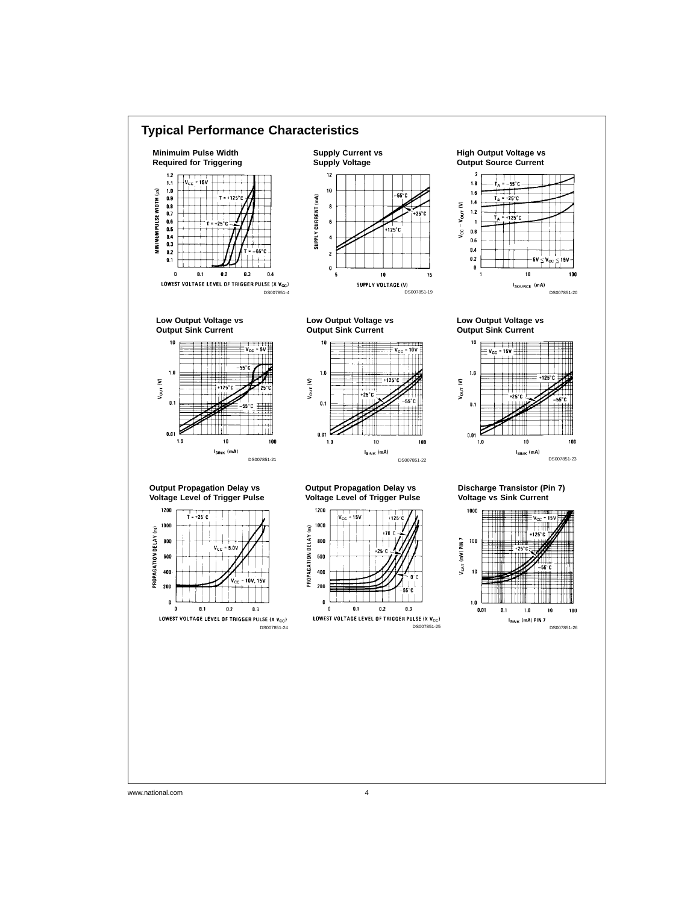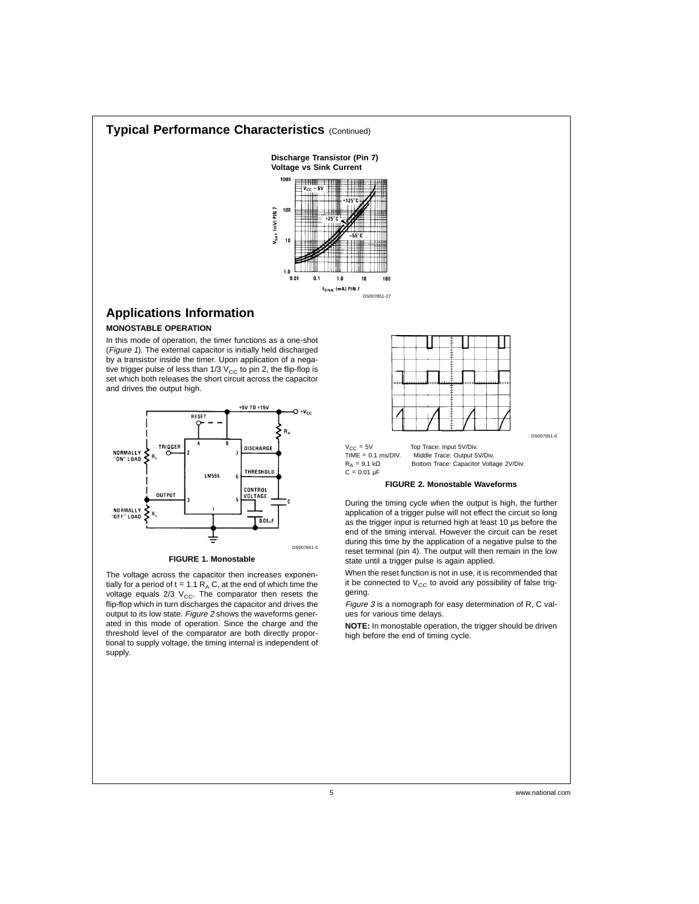#### **Typical Performance Characteristics** (Continued)



# **Applications Information**

#### **MONOSTABLE OPERATION**

In this mode of operation, the timer functions as a one-shot (Figure <sup>1</sup>). The external capacitor is initially held discharged by a transistor inside the timer. Upon application of a negative trigger pulse of less than 1/3  $V_{CC}$  to pin 2, the flip-flop is set which both releases the short circuit across the capacitor and drives the output high.



#### **FIGURE 1. Monostable**

The voltage across the capacitor then increases exponentially for a period of  $t = 1.1 R<sub>A</sub> C$ , at the end of which time the voltage equals 2/3  $V_{CC}$ . The comparator then resets the flip-flop which in turn discharges the capacitor and drives the output to its low state. Figure 2 shows the waveforms generated in this mode of operation. Since the charge and the threshold level of the comparator are both directly proportional to supply voltage, the timing internal is independent of supply.

 $V_{CC} = 5V$  Top Trace: Input 5V/Div.<br>TIME =  $0.1$  ms/DIV. Middle Trace: Output 5

TIME =  $0.1$  ms/DIV. Middle Trace: Output 5V/Div.<br>  $R_A = 9.1$  k $\Omega$  Bottom Trace: Capacitor Volta Bottom Trace: Capacitor Voltage 2V/Div.  $C = 0.01 \mu F$ 

#### **FIGURE 2. Monostable Waveforms**

During the timing cycle when the output is high, the further application of a trigger pulse will not effect the circuit so long as the trigger input is returned high at least 10 µs before the end of the timing interval. However the circuit can be reset during this time by the application of a negative pulse to the reset terminal (pin 4). The output will then remain in the low state until a trigger pulse is again applied.

When the reset function is not in use, it is recommended that it be connected to  $V_{CC}$  to avoid any possibility of false triggering.

Figure 3 is a nomograph for easy determination of R, C values for various time delays.

**NOTE:** In monostable operation, the trigger should be driven high before the end of timing cycle.

DS007851-6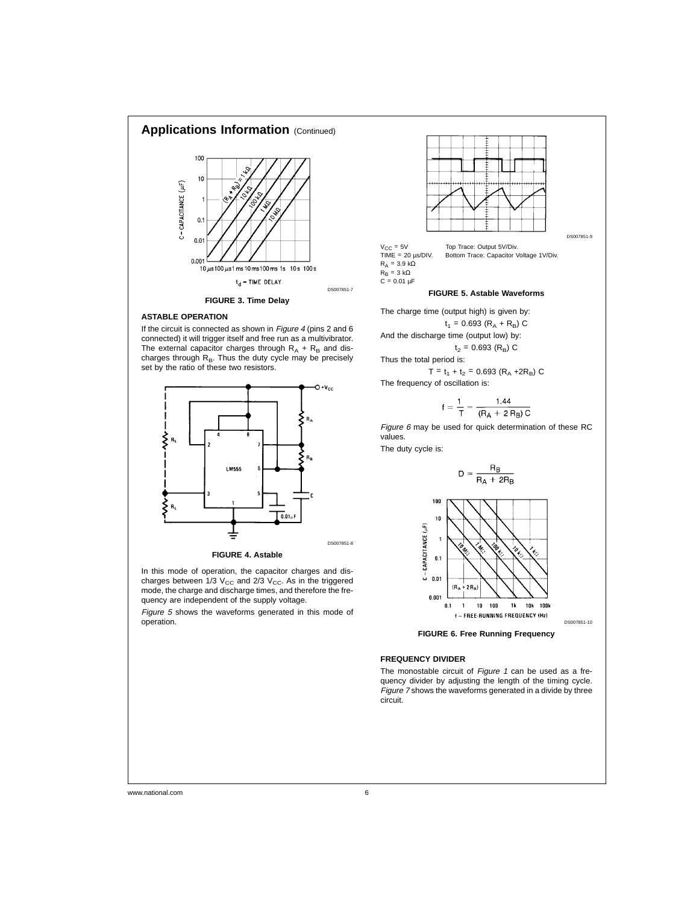

#### **ASTABLE OPERATION**

If the circuit is connected as shown in Figure 4 (pins 2 and 6) connected) it will trigger itself and free run as a multivibrator. The external capacitor charges through  $R_A + R_B$  and discharges through  $R_B$ . Thus the duty cycle may be precisely set by the ratio of these two resistors.



**FIGURE 4. Astable**

In this mode of operation, the capacitor charges and discharges between 1/3  $V_{CC}$  and 2/3  $V_{CC}$ . As in the triggered mode, the charge and discharge times, and therefore the frequency are independent of the supply voltage.

Figure <sup>5</sup> shows the waveforms generated in this mode of operation.



 $V_{CC} = 5V$  Top Trace: Output 5V/Div.<br>TIME = 20 µs/DIV. Bottom Trace: Capacitor \ Bottom Trace: Capacitor Voltage 1V/Div. R<sub>A</sub> = 3.9 kΩ<br>R<sub>B</sub> = 3 kΩ<br>C = 0.01 µF

#### **FIGURE 5. Astable Waveforms**

The charge time (output high) is given by:

$$
t_1 = 0.693 (R_A + R_B) C
$$
  
And the discharge time (output low) by:

 $t_2$  = 0.693 (R<sub>B</sub>) C Thus the total period is:  $T = t_1 + t_2 = 0.693 (R_A + 2R_B) C$ 

The frequency of oscillation is:

$$
f = \frac{1}{T} = \frac{1.44}{(R_A + 2 R_B) C}
$$

Figure 6 may be used for quick determination of these RC values.

The duty cycle is:



**FIGURE 6. Free Running Frequency**

#### **FREQUENCY DIVIDER**

The monostable circuit of Figure 1 can be used as a frequency divider by adjusting the length of the timing cycle. Figure <sup>7</sup> shows the waveforms generated in a divide by three circuit.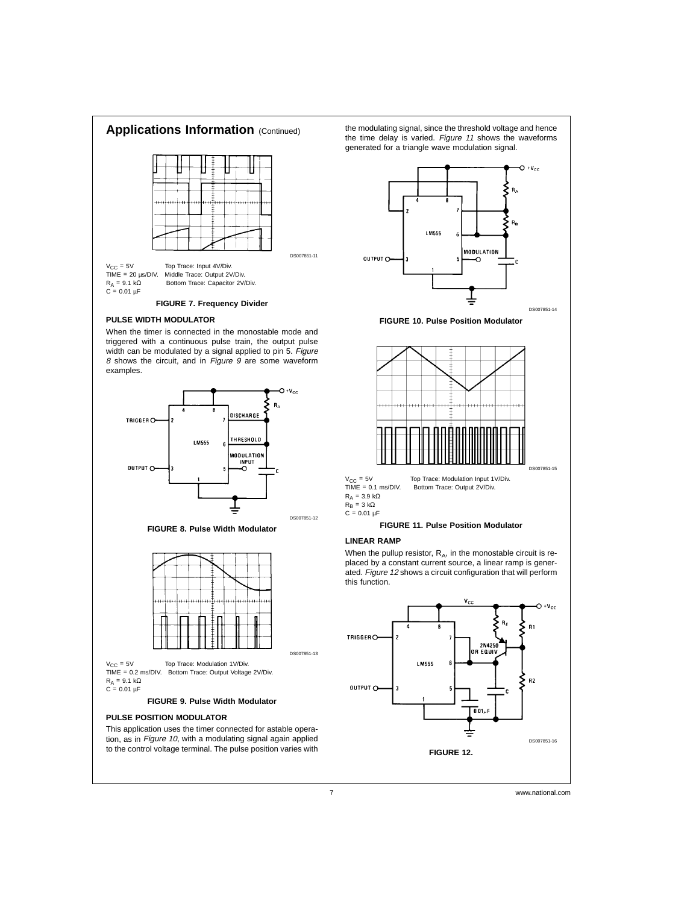



the modulating signal, since the threshold voltage and hence the time delay is varied. Figure <sup>11</sup> shows the waveforms



**FIGURE 10. Pulse Position Modulator**



**FIGURE 11. Pulse Position Modulator**

When the pullup resistor,  $R_A$ , in the monostable circuit is replaced by a constant current source, a linear ramp is generated. Figure <sup>12</sup> shows a circuit configuration that will perform

 $V_{CC} = 5V$  Top Trace: Modulation 1V/Div. TIME = 0.2 ms/DIV. Bottom Trace: Output Voltage 2V/Div.  $R_A = 9.1 \text{ k}\Omega$  $C = 0.01 \mu F$ 

#### **FIGURE 9. Pulse Width Modulator**

#### **PULSE POSITION MODULATOR**

This application uses the timer connected for astable operation, as in Figure 10, with a modulating signal again applied to the control voltage terminal. The pulse position varies with

7 www.national.com

DS007851-13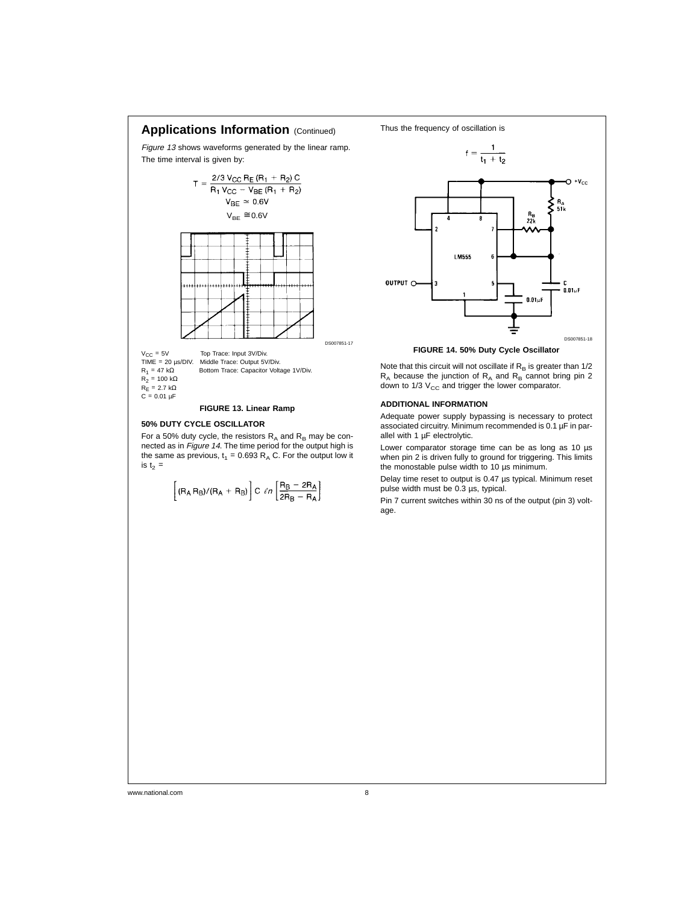

#### **50% DUTY CYCLE OSCILLATOR**

For a 50% duty cycle, the resistors  $R_A$  and  $R_B$  may be connected as in Figure <sup>14</sup>. The time period for the output high is the same as previous,  $t_1 = 0.693 R_A C$ . For the output low it is  $t_2$  =

$$
\left[ (R_A R_B) / (R_A + R_B) \right] C \; \ell n \left[ \frac{R_B - 2 R_A}{2 R_B - R_A} \right]
$$



Note that this circuit will not oscillate if  $R_B$  is greater than  $1/2$  $R_A$  because the junction of  $R_A$  and  $R_B$  cannot bring pin 2 down to 1/3  $V_{CC}$  and trigger the lower comparator.

#### **ADDITIONAL INFORMATION**

Adequate power supply bypassing is necessary to protect associated circuitry. Minimum recommended is 0.1 µF in parallel with 1 µF electrolytic.

Lower comparator storage time can be as long as 10 µs when pin 2 is driven fully to ground for triggering. This limits the monostable pulse width to 10 µs minimum.

Delay time reset to output is 0.47 µs typical. Minimum reset pulse width must be 0.3 µs, typical.

Pin 7 current switches within 30 ns of the output (pin 3) voltage.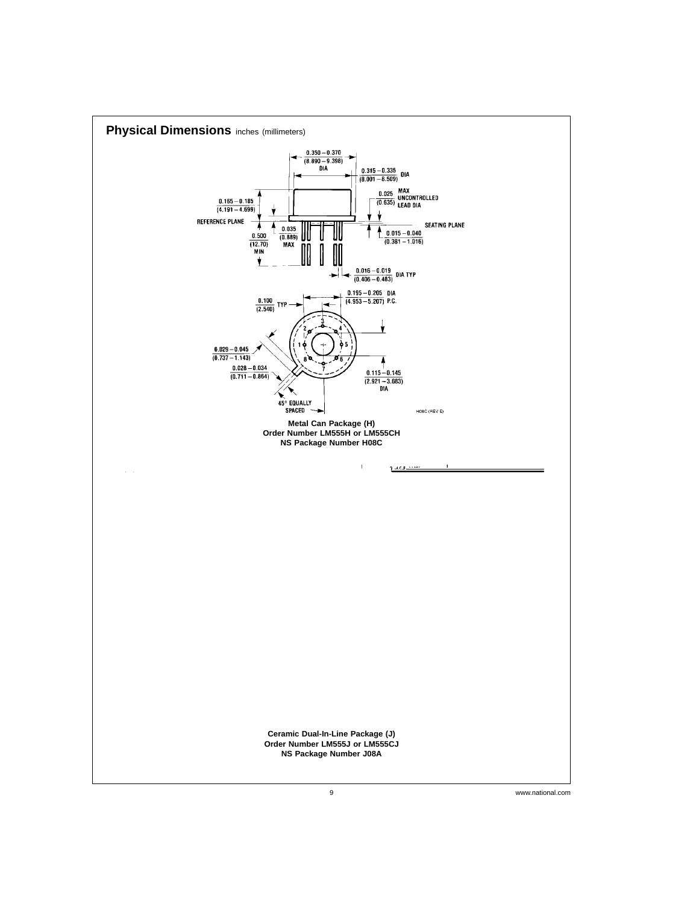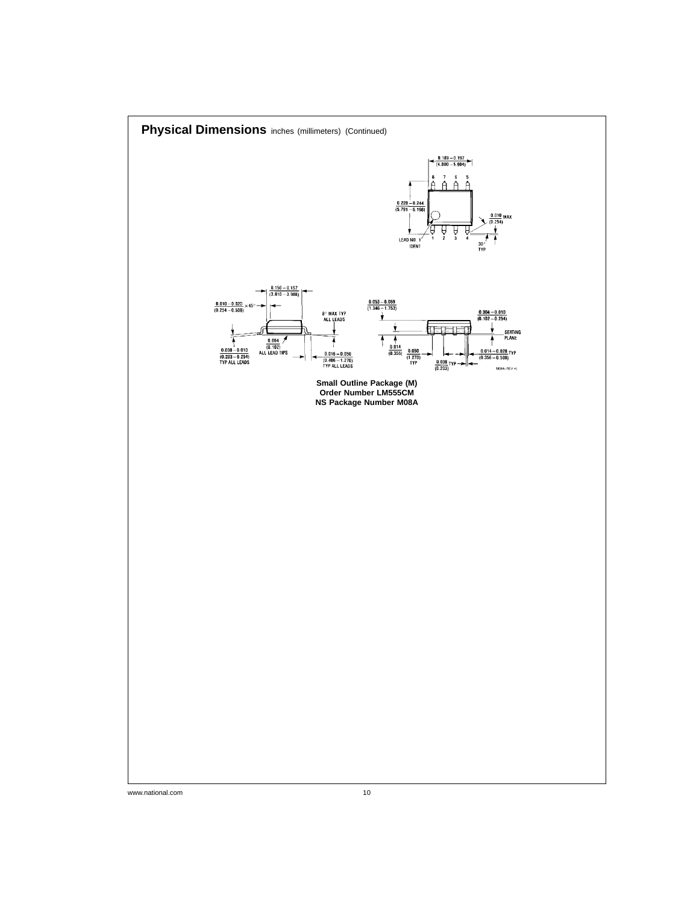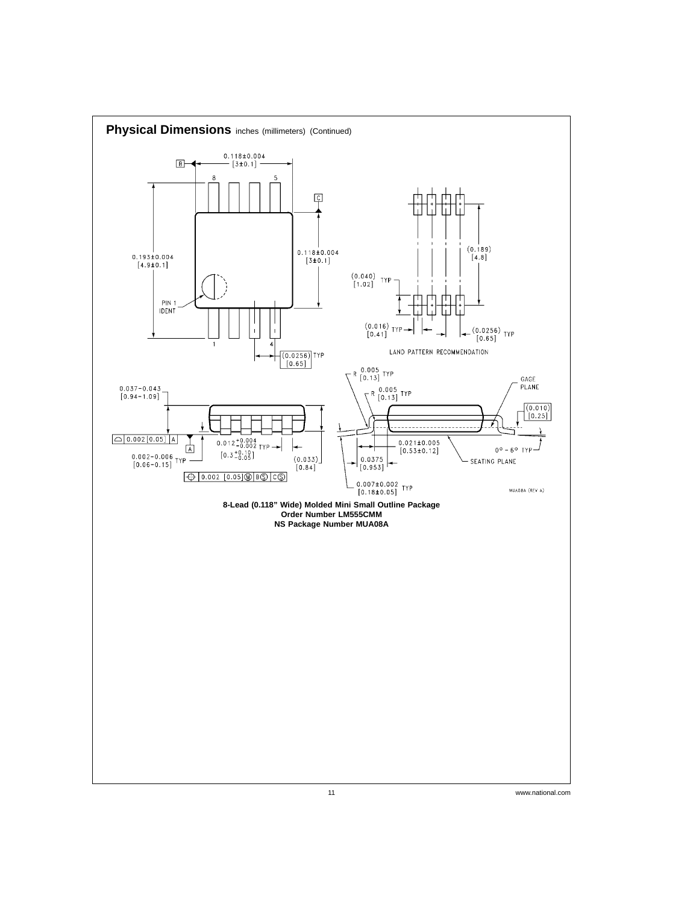